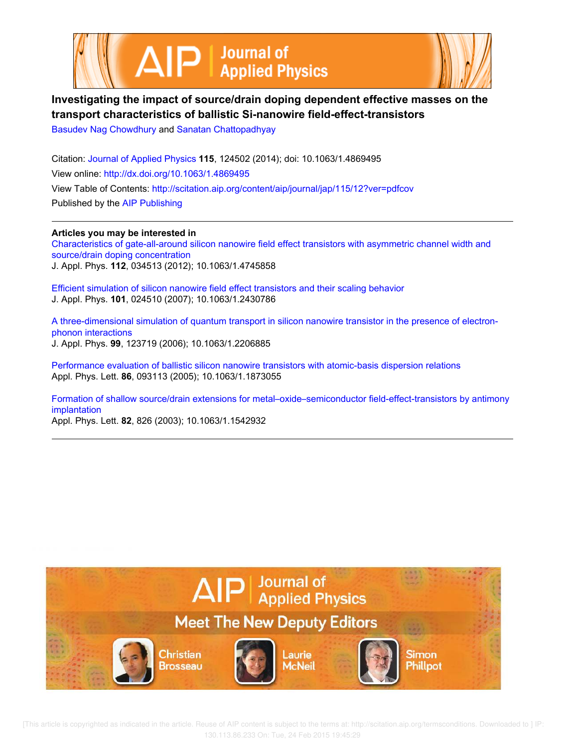



# **Investigating the impact of source/drain doping dependent effective masses on the transport characteristics of ballistic Si-nanowire field-effect-transistors**

Basudev Nag Chowdhury and Sanatan Chattopadhyay

Citation: Journal of Applied Physics **115**, 124502 (2014); doi: 10.1063/1.4869495 View online: http://dx.doi.org/10.1063/1.4869495 View Table of Contents: http://scitation.aip.org/content/aip/journal/jap/115/12?ver=pdfcov Published by the AIP Publishing

**Articles you may be interested in** Characteristics of gate-all-around silicon nanowire field effect transistors with asymmetric channel width and source/drain doping concentration J. Appl. Phys. **112**, 034513 (2012); 10.1063/1.4745858

Efficient simulation of silicon nanowire field effect transistors and their scaling behavior J. Appl. Phys. **101**, 024510 (2007); 10.1063/1.2430786

A three-dimensional simulation of quantum transport in silicon nanowire transistor in the presence of electronphonon interactions J. Appl. Phys. **99**, 123719 (2006); 10.1063/1.2206885

Performance evaluation of ballistic silicon nanowire transistors with atomic-basis dispersion relations Appl. Phys. Lett. **86**, 093113 (2005); 10.1063/1.1873055

Formation of shallow source/drain extensions for metal–oxide–semiconductor field-effect-transistors by antimony implantation

Appl. Phys. Lett. **82**, 826 (2003); 10.1063/1.1542932



 [This article is copyrighted as indicated in the article. Reuse of AIP content is subject to the terms at: http://scitation.aip.org/termsconditions. Downloaded to ] IP: 130.113.86.233 On: Tue, 24 Feb 2015 19:45:29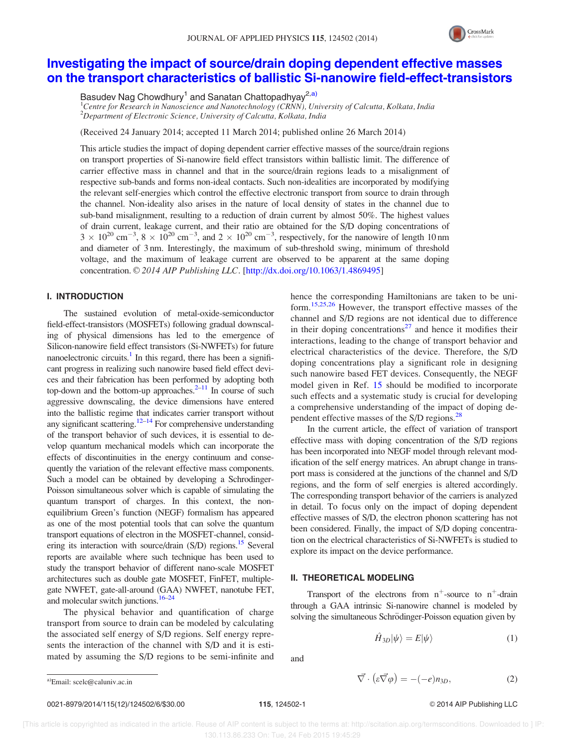

## Investigating the impact of source/drain doping dependent effective masses on the transport characteristics of ballistic Si-nanowire field-effect-transistors

Basudev Nag Chowdhury<sup>1</sup> and Sanatan Chattopadhyay<sup>2,a)</sup>

<sup>1</sup>Centre for Research in Nanoscience and Nanotechnology (CRNN), University of Calcutta, Kolkata, India  $2$ Department of Electronic Science, University of Calcutta, Kolkata, India

(Received 24 January 2014; accepted 11 March 2014; published online 26 March 2014)

This article studies the impact of doping dependent carrier effective masses of the source/drain regions on transport properties of Si-nanowire field effect transistors within ballistic limit. The difference of carrier effective mass in channel and that in the source/drain regions leads to a misalignment of respective sub-bands and forms non-ideal contacts. Such non-idealities are incorporated by modifying the relevant self-energies which control the effective electronic transport from source to drain through the channel. Non-ideality also arises in the nature of local density of states in the channel due to sub-band misalignment, resulting to a reduction of drain current by almost 50%. The highest values of drain current, leakage current, and their ratio are obtained for the S/D doping concentrations of  $3 \times 10^{20}$  cm<sup>-3</sup>,  $8 \times 10^{20}$  cm<sup>-3</sup>, and  $2 \times 10^{20}$  cm<sup>-3</sup>, respectively, for the nanowire of length 10 nm and diameter of 3 nm. Interestingly, the maximum of sub-threshold swing, minimum of threshold voltage, and the maximum of leakage current are observed to be apparent at the same doping concentration.  $\odot$  2014 AIP Publishing LLC. [http://dx.doi.org/10.1063/1.4869495]

## I. INTRODUCTION

The sustained evolution of metal-oxide-semiconductor field-effect-transistors (MOSFETs) following gradual downscaling of physical dimensions has led to the emergence of Silicon-nanowire field effect transistors (Si-NWFETs) for future nanoelectronic circuits.<sup>1</sup> In this regard, there has been a significant progress in realizing such nanowire based field effect devices and their fabrication has been performed by adopting both top-down and the bottom-up approaches. $2-11$  In course of such aggressive downscaling, the device dimensions have entered into the ballistic regime that indicates carrier transport without any significant scattering.<sup>12–14</sup> For comprehensive understanding of the transport behavior of such devices, it is essential to develop quantum mechanical models which can incorporate the effects of discontinuities in the energy continuum and consequently the variation of the relevant effective mass components. Such a model can be obtained by developing a Schrodinger-Poisson simultaneous solver which is capable of simulating the quantum transport of charges. In this context, the nonequilibrium Green's function (NEGF) formalism has appeared as one of the most potential tools that can solve the quantum transport equations of electron in the MOSFET-channel, considering its interaction with source/drain  $(S/D)$  regions.<sup>15</sup> Several reports are available where such technique has been used to study the transport behavior of different nano-scale MOSFET architectures such as double gate MOSFET, FinFET, multiplegate NWFET, gate-all-around (GAA) NWFET, nanotube FET, and molecular switch junctions. $16-24$ 

The physical behavior and quantification of charge transport from source to drain can be modeled by calculating the associated self energy of S/D regions. Self energy represents the interaction of the channel with S/D and it is estimated by assuming the S/D regions to be semi-infinite and hence the corresponding Hamiltonians are taken to be uniform.15,25,26 However, the transport effective masses of the channel and S/D regions are not identical due to difference in their doping concentrations $^{27}$  and hence it modifies their interactions, leading to the change of transport behavior and electrical characteristics of the device. Therefore, the S/D doping concentrations play a significant role in designing such nanowire based FET devices. Consequently, the NEGF model given in Ref. 15 should be modified to incorporate such effects and a systematic study is crucial for developing a comprehensive understanding of the impact of doping dependent effective masses of the S/D regions.<sup>28</sup>

In the current article, the effect of variation of transport effective mass with doping concentration of the S/D regions has been incorporated into NEGF model through relevant modification of the self energy matrices. An abrupt change in transport mass is considered at the junctions of the channel and S/D regions, and the form of self energies is altered accordingly. The corresponding transport behavior of the carriers is analyzed in detail. To focus only on the impact of doping dependent effective masses of S/D, the electron phonon scattering has not been considered. Finally, the impact of S/D doping concentration on the electrical characteristics of Si-NWFETs is studied to explore its impact on the device performance.

## II. THEORETICAL MODELING

Transport of the electrons from  $n^+$ -source to  $n^+$ -drain through a GAA intrinsic Si-nanowire channel is modeled by solving the simultaneous Schrödinger-Poisson equation given by

$$
\hat{H}_{3D}|\psi\rangle = E|\psi\rangle \tag{1}
$$

and

$$
\vec{\nabla} \cdot (\varepsilon \vec{\nabla} \varphi) = -(-e)n_{3D},\tag{2}
$$

 $a)$ Email: scelc@caluniv.ac.in

0021-8979/2014/115(12)/124502/6/\$30.00 115, 124502-1 © 2014 AIP Publishing LLC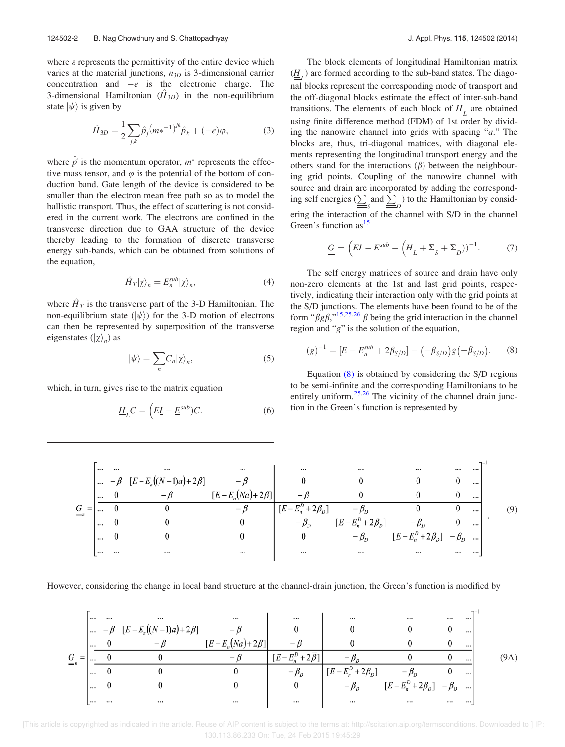where  $\varepsilon$  represents the permittivity of the entire device which varies at the material junctions,  $n_{3D}$  is 3-dimensional carrier concentration and  $-e$  is the electronic charge. The 3-dimensional Hamiltonian  $(\hat{H}_{3D})$  in the non-equilibrium state  $|\psi\rangle$  is given by

$$
\hat{H}_{3D} = \frac{1}{2} \sum_{j,k} \hat{p}_j (m \ast^{-1})^{jk} \hat{p}_k + (-e)\varphi, \tag{3}
$$

where  $\hat{\vec{p}}$  is the momentum operator,  $m^*$  represents the effective mass tensor, and  $\varphi$  is the potential of the bottom of conduction band. Gate length of the device is considered to be smaller than the electron mean free path so as to model the ballistic transport. Thus, the effect of scattering is not considered in the current work. The electrons are confined in the transverse direction due to GAA structure of the device thereby leading to the formation of discrete transverse energy sub-bands, which can be obtained from solutions of the equation,

$$
\hat{H}_T|\chi\rangle_n = E_n^{sub}|\chi\rangle_n,\tag{4}
$$

where  $\hat{H}_T$  is the transverse part of the 3-D Hamiltonian. The non-equilibrium state  $(\ket{\psi})$  for the 3-D motion of electrons can then be represented by superposition of the transverse eigenstates  $(|\chi\rangle_n)$  as

$$
|\psi\rangle = \sum_{n} C_{n} |\chi\rangle_{n}, \tag{5}
$$

which, in turn, gives rise to the matrix equation

$$
\underline{\underline{H}}_{L}\underline{\underline{C}} = \left(E_{\underline{\underline{I}}} - \underline{\underline{E}}^{\text{sub}})\underline{\underline{C}}.\right)
$$
 (6)

The block elements of longitudinal Hamiltonian matrix  $(\underline{H}_L)$  are formed according to the sub-band states. The diagonal blocks represent the corresponding mode of transport and the off-diagonal blocks estimate the effect of inter-sub-band transitions. The elements of each block of  $\underline{H}_L$  are obtained using finite difference method (FDM) of 1st order by dividing the nanowire channel into grids with spacing "a." The blocks are, thus, tri-diagonal matrices, with diagonal elements representing the longitudinal transport energy and the others stand for the interactions  $(\beta)$  between the neighbouring grid points. Coupling of the nanowire channel with source and drain are incorporated by adding the corresponding self energies ( $\sum_{s=0}^{\infty}$  and  $\sum_{s=0}^{\infty}$ ) to the Hamiltonian by considering the interaction of the channel with S/D in the channel Green's function as<sup>15</sup>

$$
\underline{\underline{G}} = \left( E \underline{I} - \underline{E}^{sub} - \left( \underline{H}_L + \underline{\Sigma}_S + \underline{\Sigma}_D \right) \right)^{-1}.
$$
 (7)

The self energy matrices of source and drain have only non-zero elements at the 1st and last grid points, respectively, indicating their interaction only with the grid points at the S/D junctions. The elements have been found to be of the form " $\beta g \beta$ ,"<sup>15,25,26</sup>  $\beta$  being the grid interaction in the channel region and "g" is the solution of the equation,

$$
(g)^{-1} = [E - E_n^{sub} + 2\beta_{S/D}] - (-\beta_{S/D})g(-\beta_{S/D}).
$$
 (8)

Equation (8) is obtained by considering the S/D regions to be semi-infinite and the corresponding Hamiltonians to be entirely uniform.<sup>25,26</sup> The vicinity of the channel drain junction in the Green's function is represented by

(9)

However, considering the change in local band structure at the channel-drain junction, the Green's function is modified by

(9A)

 [This article is copyrighted as indicated in the article. Reuse of AIP content is subject to the terms at: http://scitation.aip.org/termsconditions. Downloaded to ] IP: 130.113.86.233 On: Tue, 24 Feb 2015 19:45:29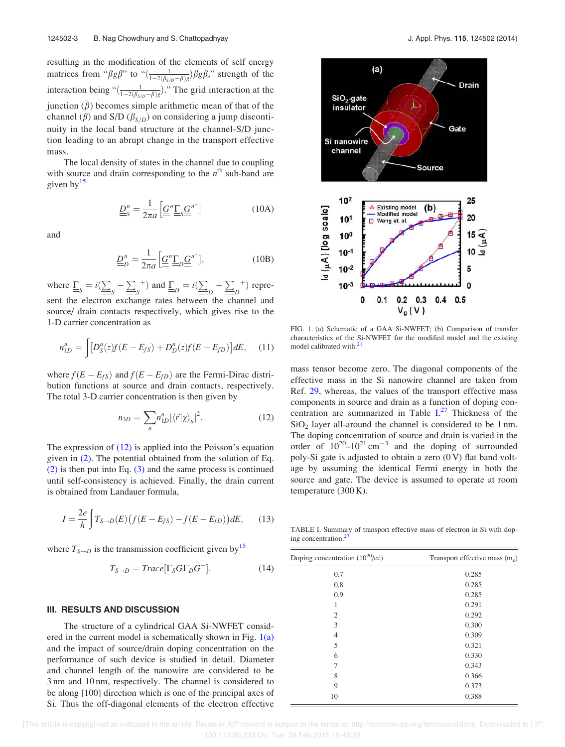resulting in the modification of the elements of self energy matrices from " $\beta g \beta$ " to " $\left(\frac{1}{1-2(\beta_{S/D}-\bar{\beta})g})\beta g \beta$ ," strength of the interaction being " $\left(\frac{1}{1-2(\beta_{S/D}-\overline{\beta})g}\right)$ ." The grid interaction at the junction  $(\bar{\beta})$  becomes simple arithmetic mean of that of the channel ( $\beta$ ) and S/D ( $\beta_{S/D}$ ) on considering a jump discontinuity in the local band structure at the channel-S/D junction leading to an abrupt change in the transport effective mass.

The local density of states in the channel due to coupling with source and drain corresponding to the  $n^{\text{th}}$  sub-band are given  $bv^{15}$ 

$$
\underline{\underline{D}}_S^n = \frac{1}{2\pi a} \left[ \underline{\underline{G}}^n \underline{\underline{\Gamma}}_S \underline{\underline{G}}^{n^+} \right]
$$
 (10A)

and

$$
\underline{\underline{D}}_D^n = \frac{1}{2\pi a} \left[ \underline{\underline{G}}^n \underline{\underline{\Gamma}}_D \underline{\underline{G}}^{n^+} \right],\tag{10B}
$$

where  $\underline{\underline{\Gamma}}_S = i(\underline{\underline{\sum}}_S - \underline{\underline{\sum}}_S^+)$  and  $\underline{\underline{\Gamma}}_D = i(\underline{\underline{\sum}}_D - \underline{\underline{\sum}}_D^+)$  represent the electron exchange rates between the channel and source/ drain contacts respectively, which gives rise to the 1-D carrier concentration as

$$
n_{1D}^n = \int [D_S^n(z)f(E - E_{fS}) + D_D^n(z)f(E - E_{fD})]dE, \quad (11)
$$

where  $f(E - E<sub>fs</sub>)$  and  $f(E - E<sub>fD</sub>)$  are the Fermi-Dirac distribution functions at source and drain contacts, respectively. The total 3-D carrier concentration is then given by

$$
n_{3D} = \sum_{n} n_{1D}^n |\langle \vec{r} | \chi \rangle_n|^2.
$$
 (12)

The expression of  $(12)$  is applied into the Poisson's equation given in (2). The potential obtained from the solution of Eq. (2) is then put into Eq. (3) and the same process is continued until self-consistency is achieved. Finally, the drain current is obtained from Landauer formula,

$$
I = \frac{2e}{h} \int T_{S \to D}(E) (f(E - E_{fS}) - f(E - E_{fD})) dE, \qquad (13)
$$

where  $T_{S\rightarrow D}$  is the transmission coefficient given by<sup>15</sup>

$$
T_{S \to D} = Trace[\Gamma_S G \Gamma_D G^+]. \tag{14}
$$

#### III. RESULTS AND DISCUSSION

The structure of a cylindrical GAA Si-NWFET considered in the current model is schematically shown in Fig.  $1(a)$ and the impact of source/drain doping concentration on the performance of such device is studied in detail. Diameter and channel length of the nanowire are considered to be 3 nm and 10 nm, respectively. The channel is considered to be along [100] direction which is one of the principal axes of Si. Thus the off-diagonal elements of the electron effective



FIG. 1. (a) Schematic of a GAA Si-NWFET; (b) Comparison of transfer characteristics of the Si-NWFET for the modified model and the existing model calibrated with.<sup>21</sup>

mass tensor become zero. The diagonal components of the effective mass in the Si nanowire channel are taken from Ref. 29, whereas, the values of the transport effective mass components in source and drain as a function of doping concentration are summarized in Table I. <sup>27</sup> Thickness of the  $SiO<sub>2</sub>$  layer all-around the channel is considered to be 1 nm. The doping concentration of source and drain is varied in the order of  $10^{20}$ – $10^{21}$  cm<sup>-3</sup> and the doping of surrounded poly-Si gate is adjusted to obtain a zero  $(0 V)$  flat band voltage by assuming the identical Fermi energy in both the source and gate. The device is assumed to operate at room temperature (300 K).

TABLE I. Summary of transport effective mass of electron in Si with doping concentration.<sup>2</sup>

| Doping concentration $(10^{20}/cc)$ | Transport effective mass $(m_e)$ |
|-------------------------------------|----------------------------------|
| 0.7                                 | 0.285                            |
| 0.8                                 | 0.285                            |
| 0.9                                 | 0.285                            |
| 1                                   | 0.291                            |
| $\overline{2}$                      | 0.292                            |
| 3                                   | 0.300                            |
| $\overline{4}$                      | 0.309                            |
| 5                                   | 0.321                            |
| 6                                   | 0.330                            |
| 7                                   | 0.343                            |
| 8                                   | 0.366                            |
| 9                                   | 0.373                            |
| 10                                  | 0.388                            |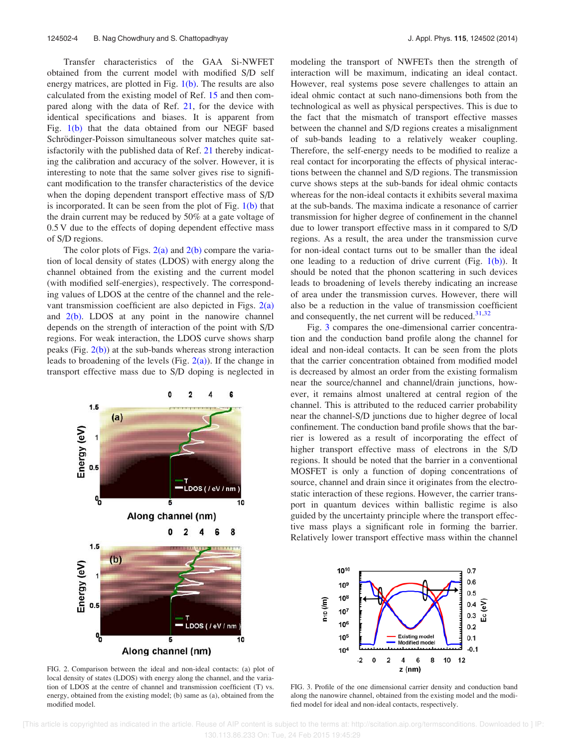Transfer characteristics of the GAA Si-NWFET obtained from the current model with modified S/D self energy matrices, are plotted in Fig.  $1(b)$ . The results are also calculated from the existing model of Ref. 15 and then compared along with the data of Ref. 21, for the device with identical specifications and biases. It is apparent from Fig.  $1(b)$  that the data obtained from our NEGF based Schrödinger-Poisson simultaneous solver matches quite satisfactorily with the published data of Ref. 21 thereby indicating the calibration and accuracy of the solver. However, it is interesting to note that the same solver gives rise to significant modification to the transfer characteristics of the device when the doping dependent transport effective mass of S/D is incorporated. It can be seen from the plot of Fig.  $1(b)$  that the drain current may be reduced by 50% at a gate voltage of 0.5 V due to the effects of doping dependent effective mass of S/D regions.

The color plots of Figs.  $2(a)$  and  $2(b)$  compare the variation of local density of states (LDOS) with energy along the channel obtained from the existing and the current model (with modified self-energies), respectively. The corresponding values of LDOS at the centre of the channel and the relevant transmission coefficient are also depicted in Figs.  $2(a)$ and  $2(b)$ . LDOS at any point in the nanowire channel depends on the strength of interaction of the point with S/D regions. For weak interaction, the LDOS curve shows sharp peaks (Fig.  $2(b)$ ) at the sub-bands whereas strong interaction leads to broadening of the levels (Fig.  $2(a)$ ). If the change in transport effective mass due to S/D doping is neglected in



FIG. 2. Comparison between the ideal and non-ideal contacts: (a) plot of local density of states (LDOS) with energy along the channel, and the variation of LDOS at the centre of channel and transmission coefficient (T) vs. energy, obtained from the existing model; (b) same as (a), obtained from the modified model.

modeling the transport of NWFETs then the strength of interaction will be maximum, indicating an ideal contact. However, real systems pose severe challenges to attain an ideal ohmic contact at such nano-dimensions both from the technological as well as physical perspectives. This is due to the fact that the mismatch of transport effective masses between the channel and S/D regions creates a misalignment of sub-bands leading to a relatively weaker coupling. Therefore, the self-energy needs to be modified to realize a real contact for incorporating the effects of physical interactions between the channel and S/D regions. The transmission curve shows steps at the sub-bands for ideal ohmic contacts whereas for the non-ideal contacts it exhibits several maxima at the sub-bands. The maxima indicate a resonance of carrier transmission for higher degree of confinement in the channel due to lower transport effective mass in it compared to S/D regions. As a result, the area under the transmission curve for non-ideal contact turns out to be smaller than the ideal one leading to a reduction of drive current (Fig.  $1(b)$ ). It should be noted that the phonon scattering in such devices leads to broadening of levels thereby indicating an increase of area under the transmission curves. However, there will also be a reduction in the value of transmission coefficient and consequently, the net current will be reduced. $31,32$ 

Fig. 3 compares the one-dimensional carrier concentration and the conduction band profile along the channel for ideal and non-ideal contacts. It can be seen from the plots that the carrier concentration obtained from modified model is decreased by almost an order from the existing formalism near the source/channel and channel/drain junctions, however, it remains almost unaltered at central region of the channel. This is attributed to the reduced carrier probability near the channel-S/D junctions due to higher degree of local confinement. The conduction band profile shows that the barrier is lowered as a result of incorporating the effect of higher transport effective mass of electrons in the S/D regions. It should be noted that the barrier in a conventional MOSFET is only a function of doping concentrations of source, channel and drain since it originates from the electrostatic interaction of these regions. However, the carrier transport in quantum devices within ballistic regime is also guided by the uncertainty principle where the transport effective mass plays a significant role in forming the barrier. Relatively lower transport effective mass within the channel



FIG. 3. Profile of the one dimensional carrier density and conduction band along the nanowire channel, obtained from the existing model and the modified model for ideal and non-ideal contacts, respectively.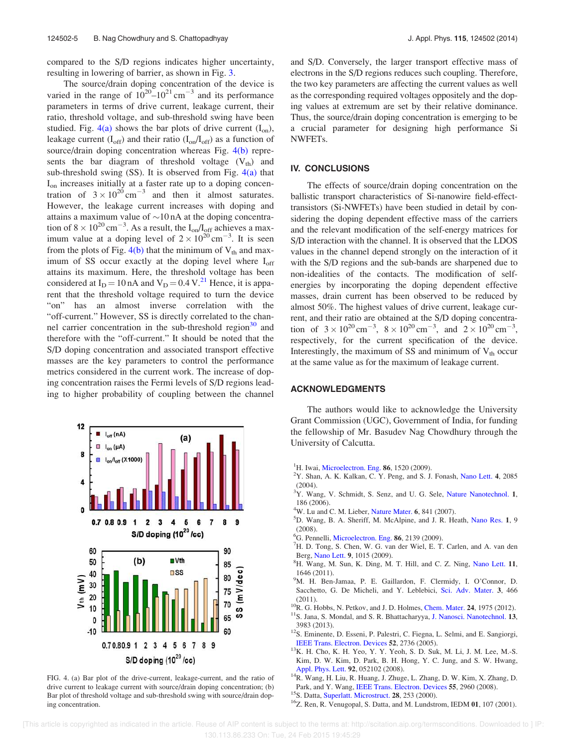compared to the S/D regions indicates higher uncertainty, resulting in lowering of barrier, as shown in Fig. 3.

The source/drain doping concentration of the device is varied in the range of  $10^{20}$ – $10^{21}$  cm<sup>-3</sup> and its performance parameters in terms of drive current, leakage current, their ratio, threshold voltage, and sub-threshold swing have been studied. Fig.  $4(a)$  shows the bar plots of drive current  $(I_{on})$ , leakage current  $(I_{off})$  and their ratio  $(I_{on}/I_{off})$  as a function of source/drain doping concentration whereas Fig. 4(b) represents the bar diagram of threshold voltage  $(V<sub>th</sub>)$  and sub-threshold swing  $(SS)$ . It is observed from Fig.  $4(a)$  that Ion increases initially at a faster rate up to a doping concentration of  $3 \times 10^{20}$  cm<sup>-3</sup> and then it almost saturates. However, the leakage current increases with doping and attains a maximum value of  $\sim$ 10 nA at the doping concentration of  $8 \times 10^{20}$  cm<sup>-3</sup>. As a result, the  $I_{on}/I_{off}$  achieves a maximum value at a doping level of  $2 \times 10^{20}$  cm<sup>-3</sup>. It is seen from the plots of Fig.  $4(b)$  that the minimum of  $V_{th}$  and maximum of SS occur exactly at the doping level where  $I_{off}$ attains its maximum. Here, the threshold voltage has been considered at  $I_D = 10$  nA and  $V_D = 0.4$  V.<sup>21</sup> Hence, it is apparent that the threshold voltage required to turn the device "on" has an almost inverse correlation with the "off-current." However, SS is directly correlated to the channel carrier concentration in the sub-threshold region<sup>30</sup> and therefore with the "off-current." It should be noted that the S/D doping concentration and associated transport effective masses are the key parameters to control the performance metrics considered in the current work. The increase of doping concentration raises the Fermi levels of S/D regions leading to higher probability of coupling between the channel



FIG. 4. (a) Bar plot of the drive-current, leakage-current, and the ratio of drive current to leakage current with source/drain doping concentration; (b) Bar plot of threshold voltage and sub-threshold swing with source/drain doping concentration.

and S/D. Conversely, the larger transport effective mass of electrons in the S/D regions reduces such coupling. Therefore, the two key parameters are affecting the current values as well as the corresponding required voltages oppositely and the doping values at extremum are set by their relative dominance. Thus, the source/drain doping concentration is emerging to be a crucial parameter for designing high performance Si NWFETs.

#### IV. CONCLUSIONS

The effects of source/drain doping concentration on the ballistic transport characteristics of Si-nanowire field-effecttransistors (Si-NWFETs) have been studied in detail by considering the doping dependent effective mass of the carriers and the relevant modification of the self-energy matrices for S/D interaction with the channel. It is observed that the LDOS values in the channel depend strongly on the interaction of it with the S/D regions and the sub-bands are sharpened due to non-idealities of the contacts. The modification of selfenergies by incorporating the doping dependent effective masses, drain current has been observed to be reduced by almost 50%. The highest values of drive current, leakage current, and their ratio are obtained at the S/D doping concentration of  $3 \times 10^{20} \text{ cm}^{-3}$ ,  $8 \times 10^{20} \text{ cm}^{-3}$ , and  $2 \times 10^{20} \text{ cm}^{-3}$ , respectively, for the current specification of the device. Interestingly, the maximum of SS and minimum of  $V_{th}$  occur at the same value as for the maximum of leakage current.

### ACKNOWLEDGMENTS

The authors would like to acknowledge the University Grant Commission (UGC), Government of India, for funding the fellowship of Mr. Basudev Nag Chowdhury through the University of Calcutta.

- <sup>1</sup>H. Iwai, Microelectron. Eng. 86, 1520 (2009).
- $2Y$ . Shan, A. K. Kalkan, C. Y. Peng, and S. J. Fonash, Nano Lett. 4, 2085 (2004).
- <sup>3</sup>Y. Wang, V. Schmidt, S. Senz, and U. G. Sele, Nature Nanotechnol. 1, 186 (2006).
- $4W$ . Lu and C. M. Lieber, Nature Mater. 6, 841 (2007).
- <sup>5</sup>D. Wang, B. A. Sheriff, M. McAlpine, and J. R. Heath, Nano Res. 1, 9 (2008).
- ${}^{6}$ G. Pennelli, Microelectron. Eng. 86, 2139 (2009).
- ${}^{7}$ H. D. Tong, S. Chen, W. G. van der Wiel, E. T. Carlen, and A. van den Berg, Nano Lett. 9, 1015 (2009).
- <sup>8</sup>H. Wang, M. Sun, K. Ding, M. T. Hill, and C. Z. Ning, Nano Lett. 11, 1646 (2011).
- <sup>9</sup>M. H. Ben-Jamaa, P. E. Gaillardon, F. Clermidy, I. O'Connor, D. Sacchetto, G. De Micheli, and Y. Leblebici, Sci. Adv. Mater. 3, 466 (2011).
- $10R$ . G. Hobbs, N. Petkov, and J. D. Holmes, Chem. Mater. 24, 1975 (2012). <sup>11</sup>S. Jana, S. Mondal, and S. R. Bhattacharyya, J. Nanosci. Nanotechnol. 13, 3983 (2013).
- <sup>12</sup>S. Eminente, D. Esseni, P. Palestri, C. Fiegna, L. Selmi, and E. Sangiorgi, IEEE Trans. Electron. Devices 52, 2736 (2005).
- <sup>13</sup>K. H. Cho, K. H. Yeo, Y. Y. Yeoh, S. D. Suk, M. Li, J. M. Lee, M.-S. Kim, D. W. Kim, D. Park, B. H. Hong, Y. C. Jung, and S. W. Hwang, Appl. Phys. Lett. 92, 052102 (2008).
- <sup>14</sup>R. Wang, H. Liu, R. Huang, J. Zhuge, L. Zhang, D. W. Kim, X. Zhang, D. Park, and Y. Wang, IEEE Trans. Electron. Devices 55, 2960 (2008).
- <sup>15</sup>S. Datta, Superlatt. Microstruct. 28, 253 (2000).
- <sup>16</sup>Z. Ren, R. Venugopal, S. Datta, and M. Lundstrom, IEDM 01, 107 (2001).